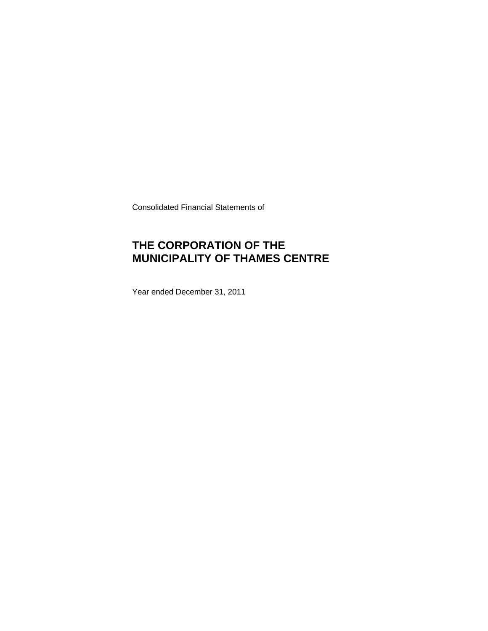Consolidated Financial Statements of

## **THE CORPORATION OF THE MUNICIPALITY OF THAMES CENTRE**

Year ended December 31, 2011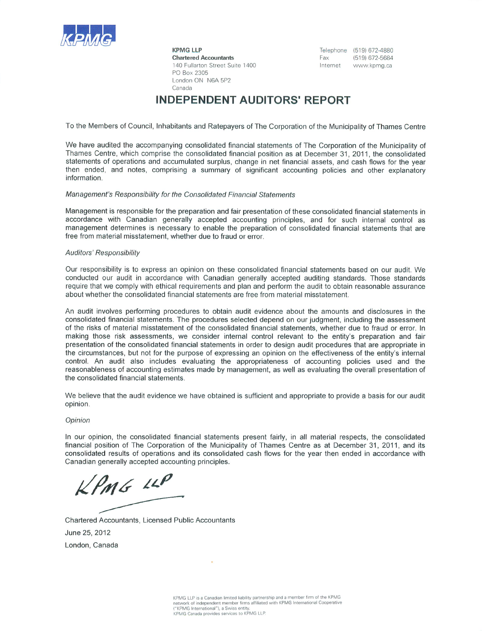

**KPMG LLP Chartered Accountants** 140 Fullarton Street Suite 1400 PO Box 2305 London ON N6A 5P2 Canada

Telephone (519) 672-4880  $Fax$ (519) 672-5684 Internet www.kpmg.ca

### **INDEPENDENT AUDITORS' REPORT**

To the Members of Council, Inhabitants and Ratepayers of The Corporation of the Municipality of Thames Centre

We have audited the accompanying consolidated financial statements of The Corporation of the Municipality of Thames Centre, which comprise the consolidated financial position as at December 31, 2011, the consolidated statements of operations and accumulated surplus, change in net financial assets, and cash flows for the year then ended, and notes, comprising a summary of significant accounting policies and other explanatory information.

#### Management's Responsibility for the Consolidated Financial Statements

Management is responsible for the preparation and fair presentation of these consolidated financial statements in accordance with Canadian generally accepted accounting principles, and for such internal control as management determines is necessary to enable the preparation of consolidated financial statements that are free from material misstatement, whether due to fraud or error.

#### **Auditors' Responsibility**

Our responsibility is to express an opinion on these consolidated financial statements based on our audit. We conducted our audit in accordance with Canadian generally accepted auditing standards. Those standards require that we comply with ethical requirements and plan and perform the audit to obtain reasonable assurance about whether the consolidated financial statements are free from material misstatement.

An audit involves performing procedures to obtain audit evidence about the amounts and disclosures in the consolidated financial statements. The procedures selected depend on our judgment, including the assessment of the risks of material misstatement of the consolidated financial statements, whether due to fraud or error. In making those risk assessments, we consider internal control relevant to the entity's preparation and fair presentation of the consolidated financial statements in order to design audit procedures that are appropriate in the circumstances, but not for the purpose of expressing an opinion on the effectiveness of the entity's internal control. An audit also includes evaluating the appropriateness of accounting policies used and the reasonableness of accounting estimates made by management, as well as evaluating the overall presentation of the consolidated financial statements.

We believe that the audit evidence we have obtained is sufficient and appropriate to provide a basis for our audit opinion.

#### Opinion

In our opinion, the consolidated financial statements present fairly, in all material respects, the consolidated financial position of The Corporation of the Municipality of Thames Centre as at December 31, 2011, and its consolidated results of operations and its consolidated cash flows for the year then ended in accordance with Canadian generally accepted accounting principles.

KPMG LLP

Chartered Accountants, Licensed Public Accountants June 25, 2012 London, Canada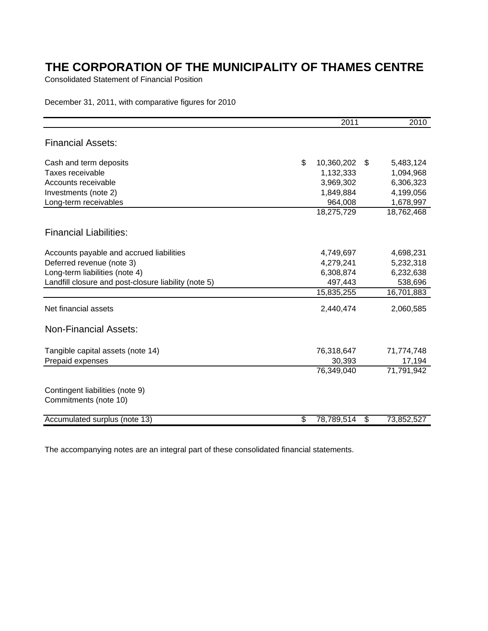Consolidated Statement of Financial Position

December 31, 2011, with comparative figures for 2010

| <b>Financial Assets:</b>                                 |    |            |    |            |
|----------------------------------------------------------|----|------------|----|------------|
| Cash and term deposits                                   | \$ | 10,360,202 | \$ | 5,483,124  |
| Taxes receivable                                         |    | 1,132,333  |    | 1,094,968  |
| Accounts receivable                                      |    | 3,969,302  |    | 6,306,323  |
| Investments (note 2)                                     |    | 1,849,884  |    | 4,199,056  |
| Long-term receivables                                    |    | 964,008    |    | 1,678,997  |
|                                                          |    | 18,275,729 |    | 18,762,468 |
| <b>Financial Liabilities:</b>                            |    |            |    |            |
| Accounts payable and accrued liabilities                 |    | 4,749,697  |    | 4,698,231  |
| Deferred revenue (note 3)                                |    | 4,279,241  |    | 5,232,318  |
| Long-term liabilities (note 4)                           |    | 6,308,874  |    | 6,232,638  |
| Landfill closure and post-closure liability (note 5)     |    | 497,443    |    | 538,696    |
|                                                          |    | 15,835,255 |    | 16,701,883 |
| Net financial assets                                     |    | 2,440,474  |    | 2,060,585  |
| <b>Non-Financial Assets:</b>                             |    |            |    |            |
| Tangible capital assets (note 14)                        |    | 76,318,647 |    | 71,774,748 |
| Prepaid expenses                                         |    | 30,393     |    | 17,194     |
|                                                          |    | 76,349,040 |    | 71,791,942 |
| Contingent liabilities (note 9)<br>Commitments (note 10) |    |            |    |            |
| Accumulated surplus (note 13)                            | \$ | 78,789,514 | \$ | 73,852,527 |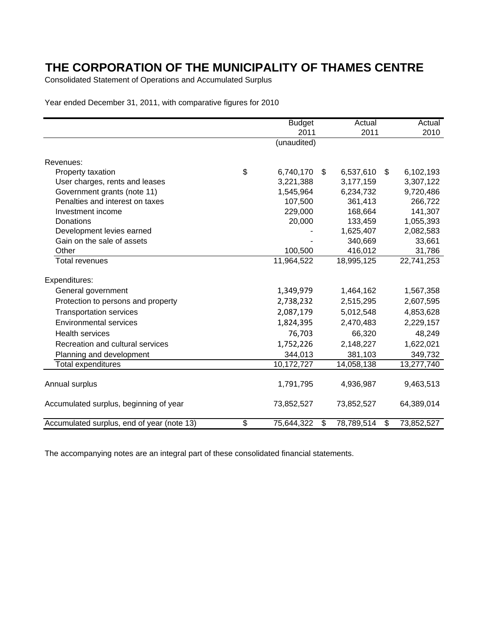Consolidated Statement of Operations and Accumulated Surplus

|                                                               | <b>Budget</b> | Actual           | Actual           |
|---------------------------------------------------------------|---------------|------------------|------------------|
|                                                               | 2011          | 2011             | 2010             |
|                                                               | (unaudited)   |                  |                  |
| Revenues:                                                     |               |                  |                  |
| \$<br>Property taxation                                       | 6,740,170     | \$<br>6,537,610  | \$<br>6,102,193  |
| User charges, rents and leases                                | 3,221,388     | 3,177,159        | 3,307,122        |
| Government grants (note 11)                                   | 1,545,964     | 6,234,732        | 9,720,486        |
| Penalties and interest on taxes                               | 107,500       | 361,413          | 266,722          |
| Investment income                                             | 229,000       | 168,664          | 141,307          |
| Donations                                                     | 20,000        | 133,459          | 1,055,393        |
| Development levies earned                                     |               | 1,625,407        | 2,082,583        |
| Gain on the sale of assets                                    |               | 340,669          | 33,661           |
| Other                                                         | 100,500       | 416,012          | 31,786           |
| <b>Total revenues</b>                                         | 11,964,522    | 18,995,125       | 22,741,253       |
|                                                               |               |                  |                  |
| Expenditures:                                                 |               |                  |                  |
| General government                                            | 1,349,979     | 1,464,162        | 1,567,358        |
| Protection to persons and property                            | 2,738,232     | 2,515,295        | 2,607,595        |
| <b>Transportation services</b>                                | 2,087,179     | 5,012,548        | 4,853,628        |
| <b>Environmental services</b>                                 | 1,824,395     | 2,470,483        | 2,229,157        |
| <b>Health services</b>                                        | 76,703        | 66,320           | 48,249           |
| Recreation and cultural services                              | 1,752,226     | 2,148,227        | 1,622,021        |
| Planning and development                                      | 344,013       | 381,103          | 349,732          |
| <b>Total expenditures</b>                                     | 10,172,727    | 14,058,138       | 13,277,740       |
| Annual surplus                                                | 1,791,795     | 4,936,987        | 9,463,513        |
| Accumulated surplus, beginning of year                        | 73,852,527    | 73,852,527       | 64,389,014       |
| $\overline{\$}$<br>Accumulated surplus, end of year (note 13) | 75,644,322    | 78,789,514<br>\$ | \$<br>73,852,527 |

Year ended December 31, 2011, with comparative figures for 2010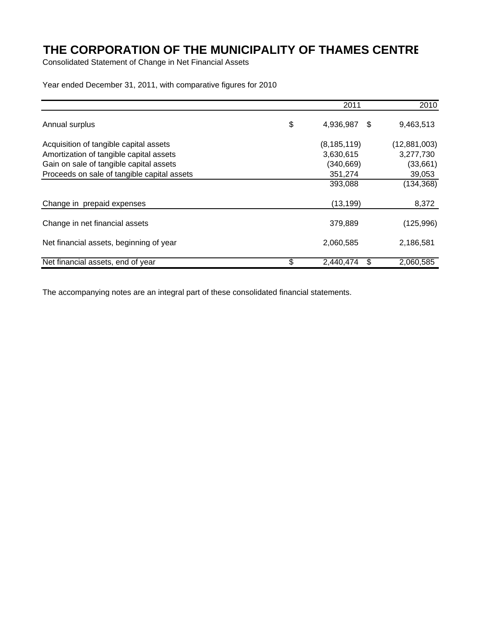Consolidated Statement of Change in Net Financial Assets

Year ended December 31, 2011, with comparative figures for 2010

|                                             | 2011                    | 2010         |
|---------------------------------------------|-------------------------|--------------|
| Annual surplus                              | \$<br>4,936,987<br>- \$ | 9,463,513    |
| Acquisition of tangible capital assets      | (8, 185, 119)           | (12,881,003) |
| Amortization of tangible capital assets     | 3,630,615               | 3,277,730    |
| Gain on sale of tangible capital assets     | (340, 669)              | (33,661)     |
| Proceeds on sale of tangible capital assets | 351,274                 | 39,053       |
|                                             | 393,088                 | (134, 368)   |
| Change in prepaid expenses                  | (13, 199)               | 8,372        |
| Change in net financial assets              | 379,889                 | (125, 996)   |
| Net financial assets, beginning of year     | 2,060,585               | 2,186,581    |
| Net financial assets, end of year           | \$<br>2,440,474<br>S    | 2,060,585    |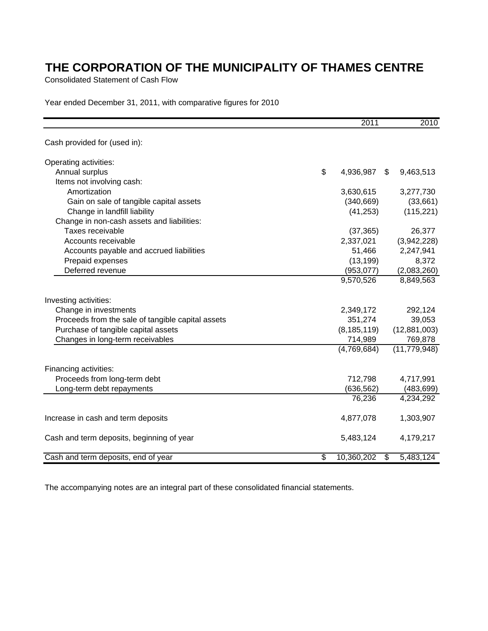Consolidated Statement of Cash Flow

Year ended December 31, 2011, with comparative figures for 2010

|                                                   | 2011                |    | 2010                   |
|---------------------------------------------------|---------------------|----|------------------------|
| Cash provided for (used in):                      |                     |    |                        |
| Operating activities:                             |                     |    |                        |
| Annual surplus                                    | \$<br>4,936,987     | S. | 9,463,513              |
| Items not involving cash:                         |                     |    |                        |
| Amortization                                      | 3,630,615           |    | 3,277,730              |
| Gain on sale of tangible capital assets           | (340, 669)          |    | (33,661)               |
| Change in landfill liability                      | (41, 253)           |    | (115, 221)             |
| Change in non-cash assets and liabilities:        |                     |    |                        |
| Taxes receivable                                  | (37, 365)           |    | 26,377                 |
| Accounts receivable                               | 2,337,021           |    | (3,942,228)            |
| Accounts payable and accrued liabilities          | 51,466              |    | 2,247,941              |
| Prepaid expenses                                  | (13, 199)           |    | 8,372                  |
| Deferred revenue                                  | (953,077)           |    | (2,083,260)            |
|                                                   | 9,570,526           |    | 8,849,563              |
| Investing activities:                             |                     |    |                        |
| Change in investments                             | 2,349,172           |    | 292,124                |
| Proceeds from the sale of tangible capital assets | 351,274             |    | 39,053                 |
| Purchase of tangible capital assets               | (8, 185, 119)       |    | (12,881,003)           |
| Changes in long-term receivables                  | 714,989             |    | 769,878                |
|                                                   | (4,769,684)         |    | (11, 779, 948)         |
| Financing activities:                             |                     |    |                        |
| Proceeds from long-term debt                      | 712,798             |    | 4,717,991              |
| Long-term debt repayments                         | (636, 562)          |    | (483, 699)             |
|                                                   | 76,236              |    | 4,234,292              |
| Increase in cash and term deposits                | 4,877,078           |    | 1,303,907              |
| Cash and term deposits, beginning of year         | 5,483,124           |    | 4,179,217              |
| Cash and term deposits, end of year               | \$<br>10,360,202 \$ |    | $\overline{5,483,124}$ |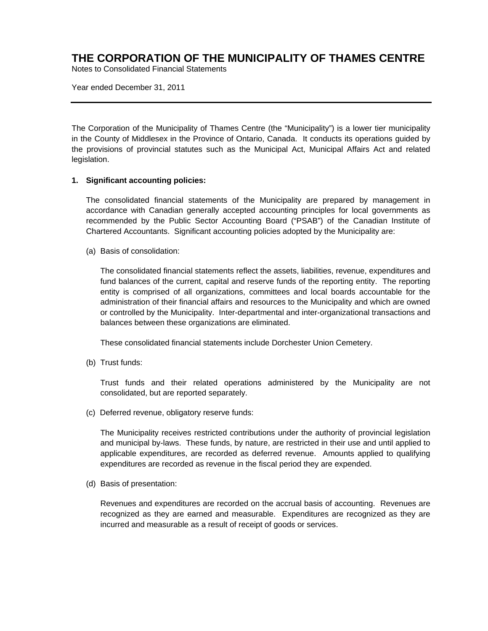Notes to Consolidated Financial Statements

Year ended December 31, 2011

The Corporation of the Municipality of Thames Centre (the "Municipality") is a lower tier municipality in the County of Middlesex in the Province of Ontario, Canada. It conducts its operations guided by the provisions of provincial statutes such as the Municipal Act, Municipal Affairs Act and related legislation.

#### **1. Significant accounting policies:**

The consolidated financial statements of the Municipality are prepared by management in accordance with Canadian generally accepted accounting principles for local governments as recommended by the Public Sector Accounting Board ("PSAB") of the Canadian Institute of Chartered Accountants. Significant accounting policies adopted by the Municipality are:

(a) Basis of consolidation:

The consolidated financial statements reflect the assets, liabilities, revenue, expenditures and fund balances of the current, capital and reserve funds of the reporting entity. The reporting entity is comprised of all organizations, committees and local boards accountable for the administration of their financial affairs and resources to the Municipality and which are owned or controlled by the Municipality. Inter-departmental and inter-organizational transactions and balances between these organizations are eliminated.

These consolidated financial statements include Dorchester Union Cemetery.

(b) Trust funds:

Trust funds and their related operations administered by the Municipality are not consolidated, but are reported separately.

(c) Deferred revenue, obligatory reserve funds:

The Municipality receives restricted contributions under the authority of provincial legislation and municipal by-laws. These funds, by nature, are restricted in their use and until applied to applicable expenditures, are recorded as deferred revenue. Amounts applied to qualifying expenditures are recorded as revenue in the fiscal period they are expended.

(d) Basis of presentation:

Revenues and expenditures are recorded on the accrual basis of accounting. Revenues are recognized as they are earned and measurable. Expenditures are recognized as they are incurred and measurable as a result of receipt of goods or services.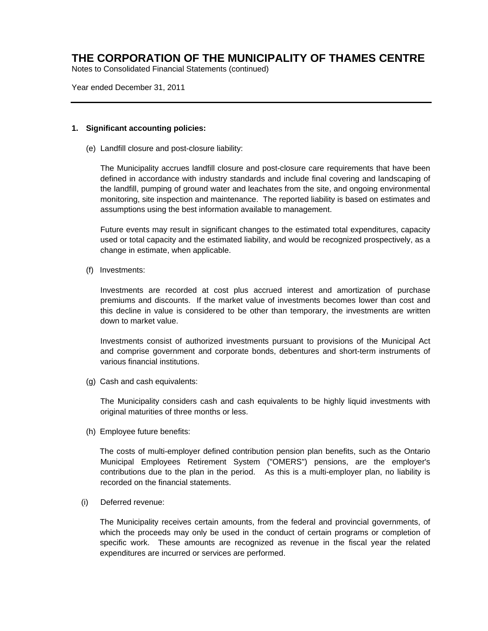Notes to Consolidated Financial Statements (continued)

Year ended December 31, 2011

#### **1. Significant accounting policies:**

(e) Landfill closure and post-closure liability:

The Municipality accrues landfill closure and post-closure care requirements that have been defined in accordance with industry standards and include final covering and landscaping of the landfill, pumping of ground water and leachates from the site, and ongoing environmental monitoring, site inspection and maintenance. The reported liability is based on estimates and assumptions using the best information available to management.

Future events may result in significant changes to the estimated total expenditures, capacity used or total capacity and the estimated liability, and would be recognized prospectively, as a change in estimate, when applicable.

(f) Investments:

Investments are recorded at cost plus accrued interest and amortization of purchase premiums and discounts. If the market value of investments becomes lower than cost and this decline in value is considered to be other than temporary, the investments are written down to market value.

Investments consist of authorized investments pursuant to provisions of the Municipal Act and comprise government and corporate bonds, debentures and short-term instruments of various financial institutions.

(g) Cash and cash equivalents:

The Municipality considers cash and cash equivalents to be highly liquid investments with original maturities of three months or less.

(h) Employee future benefits:

The costs of multi-employer defined contribution pension plan benefits, such as the Ontario Municipal Employees Retirement System ("OMERS") pensions, are the employer's contributions due to the plan in the period. As this is a multi-employer plan, no liability is recorded on the financial statements.

(i) Deferred revenue:

The Municipality receives certain amounts, from the federal and provincial governments, of which the proceeds may only be used in the conduct of certain programs or completion of specific work. These amounts are recognized as revenue in the fiscal year the related expenditures are incurred or services are performed.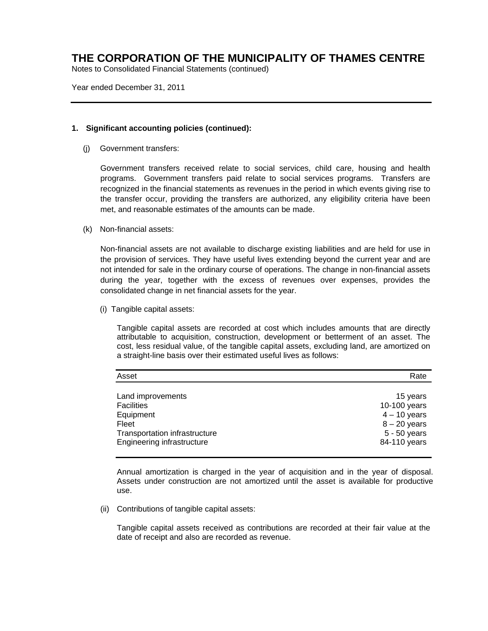Notes to Consolidated Financial Statements (continued)

Year ended December 31, 2011

#### **1. Significant accounting policies (continued):**

(j) Government transfers:

Government transfers received relate to social services, child care, housing and health programs. Government transfers paid relate to social services programs. Transfers are recognized in the financial statements as revenues in the period in which events giving rise to the transfer occur, providing the transfers are authorized, any eligibility criteria have been met, and reasonable estimates of the amounts can be made.

(k) Non-financial assets:

Non-financial assets are not available to discharge existing liabilities and are held for use in the provision of services. They have useful lives extending beyond the current year and are not intended for sale in the ordinary course of operations. The change in non-financial assets during the year, together with the excess of revenues over expenses, provides the consolidated change in net financial assets for the year.

(i) Tangible capital assets:

Tangible capital assets are recorded at cost which includes amounts that are directly attributable to acquisition, construction, development or betterment of an asset. The cost, less residual value, of the tangible capital assets, excluding land, are amortized on a straight-line basis over their estimated useful lives as follows:

| Asset                                                                                         | Rate                                                                         |
|-----------------------------------------------------------------------------------------------|------------------------------------------------------------------------------|
| Land improvements<br><b>Facilities</b><br>Equipment<br>Fleet<br>Transportation infrastructure | 15 years<br>10-100 years<br>$4 - 10$ years<br>$8 - 20$ years<br>5 - 50 years |
| Engineering infrastructure                                                                    | 84-110 years                                                                 |

Annual amortization is charged in the year of acquisition and in the year of disposal. Assets under construction are not amortized until the asset is available for productive use.

(ii) Contributions of tangible capital assets:

Tangible capital assets received as contributions are recorded at their fair value at the date of receipt and also are recorded as revenue.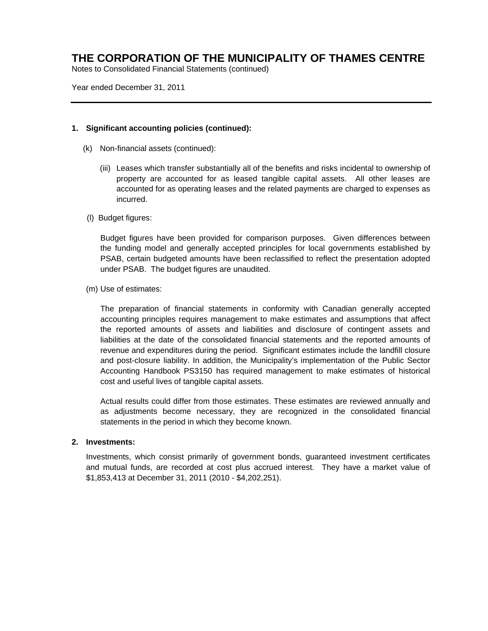Notes to Consolidated Financial Statements (continued)

Year ended December 31, 2011

#### **1. Significant accounting policies (continued):**

- (k) Non-financial assets (continued):
	- (iii) Leases which transfer substantially all of the benefits and risks incidental to ownership of property are accounted for as leased tangible capital assets. All other leases are accounted for as operating leases and the related payments are charged to expenses as incurred.
- (l) Budget figures:

Budget figures have been provided for comparison purposes. Given differences between the funding model and generally accepted principles for local governments established by PSAB, certain budgeted amounts have been reclassified to reflect the presentation adopted under PSAB. The budget figures are unaudited.

(m) Use of estimates:

The preparation of financial statements in conformity with Canadian generally accepted accounting principles requires management to make estimates and assumptions that affect the reported amounts of assets and liabilities and disclosure of contingent assets and liabilities at the date of the consolidated financial statements and the reported amounts of revenue and expenditures during the period. Significant estimates include the landfill closure and post-closure liability. In addition, the Municipality's implementation of the Public Sector Accounting Handbook PS3150 has required management to make estimates of historical cost and useful lives of tangible capital assets.

Actual results could differ from those estimates. These estimates are reviewed annually and as adjustments become necessary, they are recognized in the consolidated financial statements in the period in which they become known.

#### **2. Investments:**

Investments, which consist primarily of government bonds, guaranteed investment certificates and mutual funds, are recorded at cost plus accrued interest. They have a market value of \$1,853,413 at December 31, 2011 (2010 - \$4,202,251).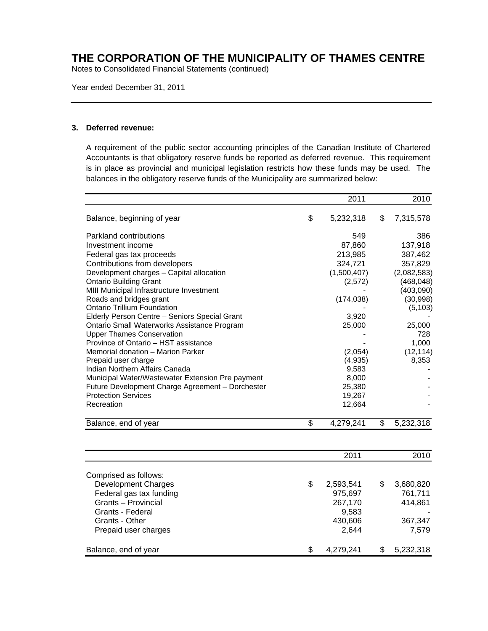Notes to Consolidated Financial Statements (continued)

Year ended December 31, 2011

### **3. Deferred revenue:**

A requirement of the public sector accounting principles of the Canadian Institute of Chartered Accountants is that obligatory reserve funds be reported as deferred revenue. This requirement is in place as provincial and municipal legislation restricts how these funds may be used. The balances in the obligatory reserve funds of the Municipality are summarized below:

|                                                                                | 2011            | 2010            |
|--------------------------------------------------------------------------------|-----------------|-----------------|
| Balance, beginning of year                                                     | \$<br>5,232,318 | \$<br>7,315,578 |
| Parkland contributions                                                         | 549             | 386             |
| Investment income                                                              | 87,860          | 137,918         |
| Federal gas tax proceeds                                                       | 213,985         | 387,462         |
| Contributions from developers                                                  | 324,721         | 357,829         |
| Development charges - Capital allocation                                       | (1,500,407)     | (2,082,583)     |
| <b>Ontario Building Grant</b>                                                  | (2, 572)        | (468, 048)      |
| MIII Municipal Infrastructure Investment                                       |                 | (403,090)       |
| Roads and bridges grant                                                        | (174, 038)      | (30, 998)       |
| <b>Ontario Trillium Foundation</b>                                             |                 | (5, 103)        |
| Elderly Person Centre - Seniors Special Grant                                  | 3,920           |                 |
| Ontario Small Waterworks Assistance Program                                    | 25,000          | 25,000          |
| <b>Upper Thames Conservation</b>                                               |                 | 728             |
| Province of Ontario - HST assistance                                           |                 | 1,000           |
| Memorial donation - Marion Parker                                              | (2,054)         | (12, 114)       |
| Prepaid user charge                                                            | (4, 935)        | 8,353           |
| Indian Northern Affairs Canada                                                 | 9,583           |                 |
| Municipal Water/Wastewater Extension Pre payment                               | 8,000<br>25,380 |                 |
| Future Development Charge Agreement - Dorchester<br><b>Protection Services</b> | 19,267          |                 |
| Recreation                                                                     | 12,664          |                 |
|                                                                                |                 |                 |
| Balance, end of year                                                           | \$<br>4,279,241 | \$<br>5,232,318 |
|                                                                                |                 |                 |
|                                                                                | 2011            | 2010            |
| Comprised as follows:                                                          |                 |                 |
| <b>Development Charges</b>                                                     | \$<br>2,593,541 | \$<br>3,680,820 |
| Federal gas tax funding                                                        | 975,697         | 761,711         |
| Grants - Provincial                                                            | 267,170         | 414,861         |
| Grants - Federal                                                               | 9,583           |                 |
| Grants - Other                                                                 | 430,606         | 367,347         |
| Prepaid user charges                                                           | 2,644           | 7,579           |
|                                                                                |                 |                 |
| Balance, end of year                                                           | \$<br>4,279,241 | \$<br>5,232,318 |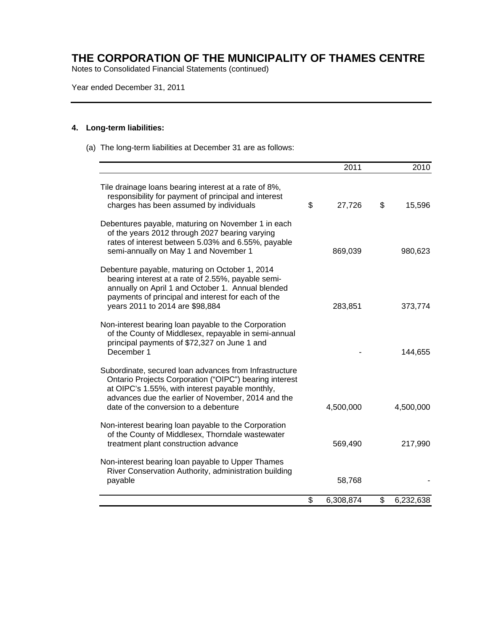Notes to Consolidated Financial Statements (continued)

Year ended December 31, 2011

### **4. Long-term liabilities:**

(a) The long-term liabilities at December 31 are as follows:

|                                                                                                                                                                                                                                                                    | 2011            | 2010            |
|--------------------------------------------------------------------------------------------------------------------------------------------------------------------------------------------------------------------------------------------------------------------|-----------------|-----------------|
| Tile drainage loans bearing interest at a rate of 8%,<br>responsibility for payment of principal and interest<br>charges has been assumed by individuals                                                                                                           | \$<br>27,726    | \$<br>15,596    |
| Debentures payable, maturing on November 1 in each<br>of the years 2012 through 2027 bearing varying<br>rates of interest between 5.03% and 6.55%, payable<br>semi-annually on May 1 and November 1                                                                | 869,039         | 980,623         |
| Debenture payable, maturing on October 1, 2014<br>bearing interest at a rate of 2.55%, payable semi-<br>annually on April 1 and October 1. Annual blended<br>payments of principal and interest for each of the<br>years 2011 to 2014 are \$98,884                 | 283,851         | 373,774         |
| Non-interest bearing loan payable to the Corporation<br>of the County of Middlesex, repayable in semi-annual<br>principal payments of \$72,327 on June 1 and<br>December 1                                                                                         |                 | 144,655         |
| Subordinate, secured loan advances from Infrastructure<br>Ontario Projects Corporation ("OIPC") bearing interest<br>at OIPC's 1.55%, with interest payable monthly,<br>advances due the earlier of November, 2014 and the<br>date of the conversion to a debenture | 4,500,000       | 4,500,000       |
| Non-interest bearing loan payable to the Corporation<br>of the County of Middlesex, Thorndale wastewater<br>treatment plant construction advance                                                                                                                   | 569,490         | 217,990         |
| Non-interest bearing loan payable to Upper Thames<br>River Conservation Authority, administration building<br>payable                                                                                                                                              | 58,768          |                 |
|                                                                                                                                                                                                                                                                    | \$<br>6,308,874 | \$<br>6,232,638 |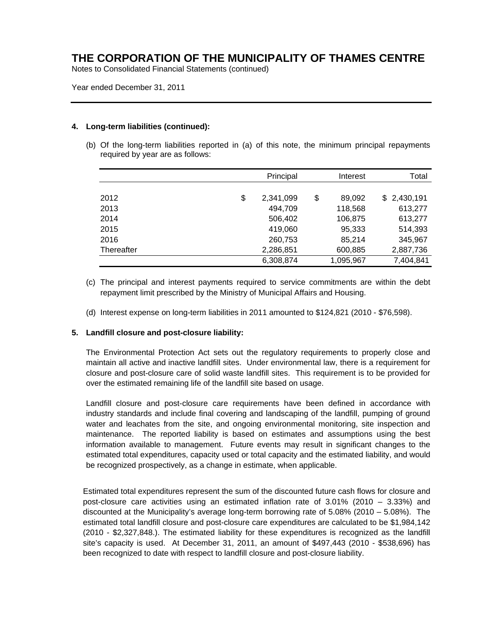Notes to Consolidated Financial Statements (continued)

Year ended December 31, 2011

#### **4. Long-term liabilities (continued):**

(b) Of the long-term liabilities reported in (a) of this note, the minimum principal repayments required by year are as follows:

|            | Principal       | Interest     | Total       |
|------------|-----------------|--------------|-------------|
|            |                 |              |             |
| 2012       | \$<br>2,341,099 | \$<br>89,092 | \$2,430,191 |
| 2013       | 494,709         | 118,568      | 613,277     |
| 2014       | 506,402         | 106,875      | 613,277     |
| 2015       | 419,060         | 95,333       | 514,393     |
| 2016       | 260,753         | 85,214       | 345,967     |
| Thereafter | 2,286,851       | 600,885      | 2,887,736   |
|            | 6,308,874       | 1,095,967    | 7,404,841   |

- (c) The principal and interest payments required to service commitments are within the debt repayment limit prescribed by the Ministry of Municipal Affairs and Housing.
- (d) Interest expense on long-term liabilities in 2011 amounted to \$124,821 (2010 \$76,598).

#### **5. Landfill closure and post-closure liability:**

The Environmental Protection Act sets out the regulatory requirements to properly close and maintain all active and inactive landfill sites. Under environmental law, there is a requirement for closure and post-closure care of solid waste landfill sites. This requirement is to be provided for over the estimated remaining life of the landfill site based on usage.

Landfill closure and post-closure care requirements have been defined in accordance with industry standards and include final covering and landscaping of the landfill, pumping of ground water and leachates from the site, and ongoing environmental monitoring, site inspection and maintenance. The reported liability is based on estimates and assumptions using the best information available to management. Future events may result in significant changes to the estimated total expenditures, capacity used or total capacity and the estimated liability, and would be recognized prospectively, as a change in estimate, when applicable.

Estimated total expenditures represent the sum of the discounted future cash flows for closure and post-closure care activities using an estimated inflation rate of 3.01% (2010 – 3.33%) and discounted at the Municipality's average long-term borrowing rate of 5.08% (2010 – 5.08%). The estimated total landfill closure and post-closure care expenditures are calculated to be \$1,984,142 (2010 - \$2,327,848.). The estimated liability for these expenditures is recognized as the landfill site's capacity is used. At December 31, 2011, an amount of \$497,443 (2010 - \$538,696) has been recognized to date with respect to landfill closure and post-closure liability.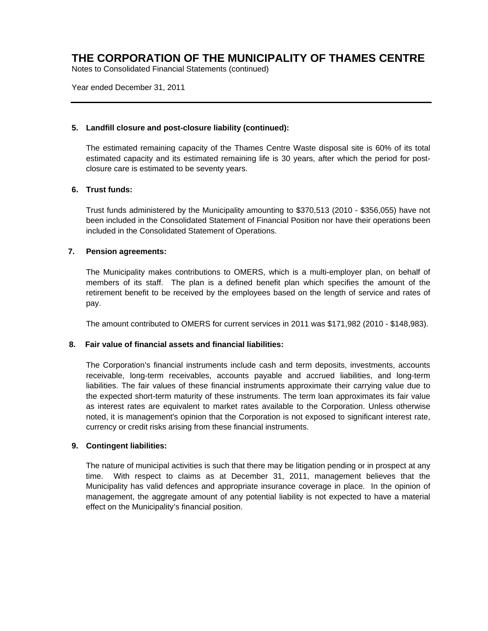Notes to Consolidated Financial Statements (continued)

Year ended December 31, 2011

#### **5. Landfill closure and post-closure liability (continued):**

The estimated remaining capacity of the Thames Centre Waste disposal site is 60% of its total estimated capacity and its estimated remaining life is 30 years, after which the period for postclosure care is estimated to be seventy years.

#### **6. Trust funds:**

Trust funds administered by the Municipality amounting to \$370,513 (2010 - \$356,055) have not been included in the Consolidated Statement of Financial Position nor have their operations been included in the Consolidated Statement of Operations.

#### **7. Pension agreements:**

The Municipality makes contributions to OMERS, which is a multi-employer plan, on behalf of members of its staff. The plan is a defined benefit plan which specifies the amount of the retirement benefit to be received by the employees based on the length of service and rates of pay.

The amount contributed to OMERS for current services in 2011 was \$171,982 (2010 - \$148,983).

#### **8. Fair value of financial assets and financial liabilities:**

The Corporation's financial instruments include cash and term deposits, investments, accounts receivable, long-term receivables, accounts payable and accrued liabilities, and long-term liabilities. The fair values of these financial instruments approximate their carrying value due to the expected short-term maturity of these instruments. The term loan approximates its fair value as interest rates are equivalent to market rates available to the Corporation. Unless otherwise noted, it is management's opinion that the Corporation is not exposed to significant interest rate, currency or credit risks arising from these financial instruments.

#### **9. Contingent liabilities:**

The nature of municipal activities is such that there may be litigation pending or in prospect at any time. With respect to claims as at December 31, 2011, management believes that the Municipality has valid defences and appropriate insurance coverage in place. In the opinion of management, the aggregate amount of any potential liability is not expected to have a material effect on the Municipality's financial position.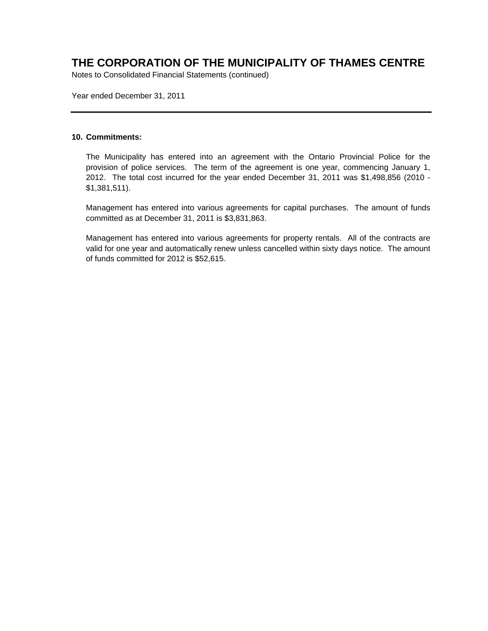Notes to Consolidated Financial Statements (continued)

Year ended December 31, 2011

#### **10. Commitments:**

The Municipality has entered into an agreement with the Ontario Provincial Police for the provision of police services. The term of the agreement is one year, commencing January 1, 2012. The total cost incurred for the year ended December 31, 2011 was \$1,498,856 (2010 - \$1,381,511).

Management has entered into various agreements for capital purchases. The amount of funds committed as at December 31, 2011 is \$3,831,863.

Management has entered into various agreements for property rentals. All of the contracts are valid for one year and automatically renew unless cancelled within sixty days notice. The amount of funds committed for 2012 is \$52,615.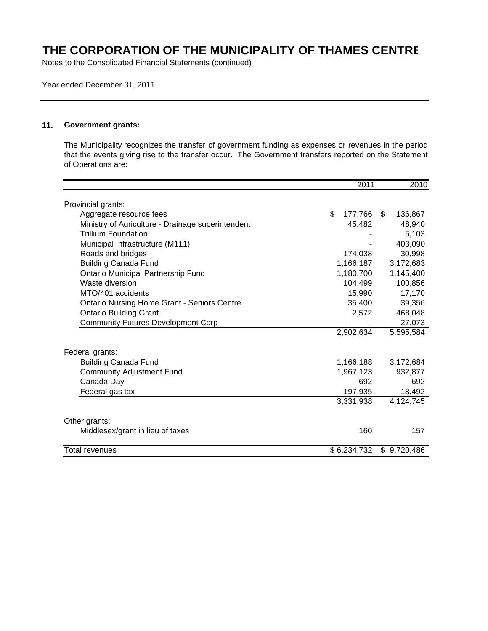Notes to the Consolidated Financial Statements (continued)

Year ended December 31, 2011

#### **11. Government grants:**

The Municipality recognizes the transfer of government funding as expenses or revenues in the period that the events giving rise to the transfer occur. The Government transfers reported on the Statement of Operations are:

|                                                    | 2011          | 2010          |
|----------------------------------------------------|---------------|---------------|
|                                                    |               |               |
| Provincial grants:                                 |               |               |
| Aggregate resource fees                            | \$<br>177,766 | 136,867<br>S. |
| Ministry of Agriculture - Drainage superintendent  | 45,482        | 48,940        |
| <b>Trillium Foundation</b>                         |               | 5,103         |
| Municipal Infrastructure (M111)                    |               | 403,090       |
| Roads and bridges                                  | 174,038       | 30,998        |
| <b>Building Canada Fund</b>                        | 1,166,187     | 3,172,683     |
| Ontario Municipal Partnership Fund                 | 1,180,700     | 1,145,400     |
| Waste diversion                                    | 104,499       | 100,856       |
| MTO/401 accidents                                  | 15,990        | 17,170        |
| <b>Ontario Nursing Home Grant - Seniors Centre</b> | 35,400        | 39,356        |
| <b>Ontario Building Grant</b>                      | 2,572         | 468,048       |
| <b>Community Futures Development Corp</b>          |               | 27,073        |
|                                                    | 2,902,634     | 5,595,584     |
|                                                    |               |               |
| Federal grants:                                    |               |               |
| <b>Building Canada Fund</b>                        | 1,166,188     | 3,172,684     |
| <b>Community Adjustment Fund</b>                   | 1,967,123     | 932,877       |
| Canada Day                                         | 692           | 692           |
| Federal gas tax                                    | 197,935       | 18,492        |
|                                                    | 3,331,938     | 4,124,745     |
| Other grants:                                      |               |               |
| Middlesex/grant in lieu of taxes                   | 160           | 157           |
|                                                    |               |               |
| Total revenues                                     | \$6,234,732   | \$9,720,486   |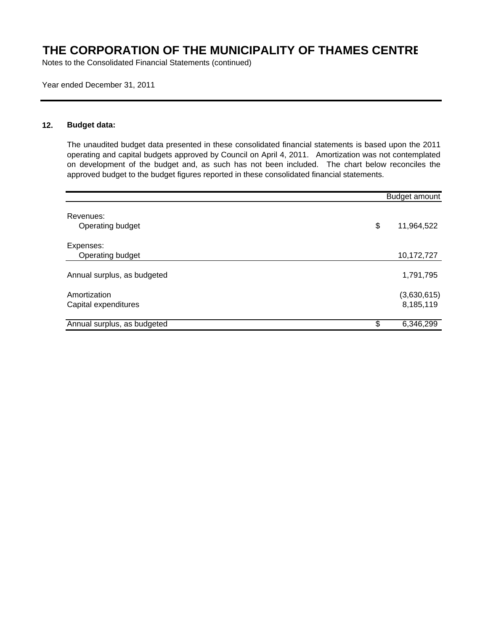Notes to the Consolidated Financial Statements (continued)

Year ended December 31, 2011

#### **12. Budget data:**

The unaudited budget data presented in these consolidated financial statements is based upon the 2011 operating and capital budgets approved by Council on April 4, 2011. Amortization was not contemplated on development of the budget and, as such has not been included. The chart below reconciles the approved budget to the budget figures reported in these consolidated financial statements.

|                               | Budget amount    |  |
|-------------------------------|------------------|--|
| Revenues:<br>Operating budget | \$<br>11,964,522 |  |
| Expenses:                     |                  |  |
| Operating budget              | 10,172,727       |  |
| Annual surplus, as budgeted   | 1,791,795        |  |
| Amortization                  | (3,630,615)      |  |
| Capital expenditures          | 8,185,119        |  |
| Annual surplus, as budgeted   | \$<br>6,346,299  |  |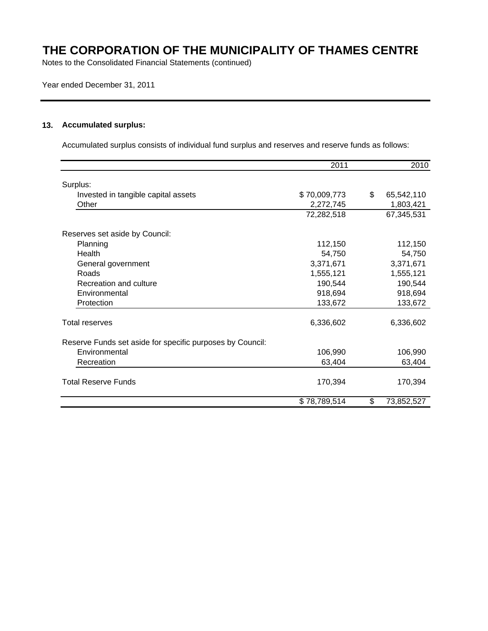Notes to the Consolidated Financial Statements (continued)

Year ended December 31, 2011

#### **13. Accumulated surplus:**

Accumulated surplus consists of individual fund surplus and reserves and reserve funds as follows:

|                                                           | 2011         | 2010             |  |
|-----------------------------------------------------------|--------------|------------------|--|
| Surplus:                                                  |              |                  |  |
| Invested in tangible capital assets                       | \$70,009,773 | \$<br>65,542,110 |  |
| Other                                                     | 2,272,745    | 1,803,421        |  |
|                                                           | 72,282,518   | 67,345,531       |  |
| Reserves set aside by Council:                            |              |                  |  |
| Planning                                                  | 112,150      | 112,150          |  |
| Health                                                    | 54,750       | 54,750           |  |
| General government                                        | 3,371,671    | 3,371,671        |  |
| Roads                                                     | 1,555,121    | 1,555,121        |  |
| Recreation and culture                                    | 190,544      | 190,544          |  |
| Environmental                                             | 918,694      | 918,694          |  |
| Protection                                                | 133,672      | 133,672          |  |
| <b>Total reserves</b>                                     | 6,336,602    | 6,336,602        |  |
| Reserve Funds set aside for specific purposes by Council: |              |                  |  |
| Environmental                                             | 106,990      | 106,990          |  |
| Recreation                                                | 63,404       | 63,404           |  |
| <b>Total Reserve Funds</b>                                | 170,394      | 170,394          |  |
|                                                           | \$78,789,514 | \$<br>73,852,527 |  |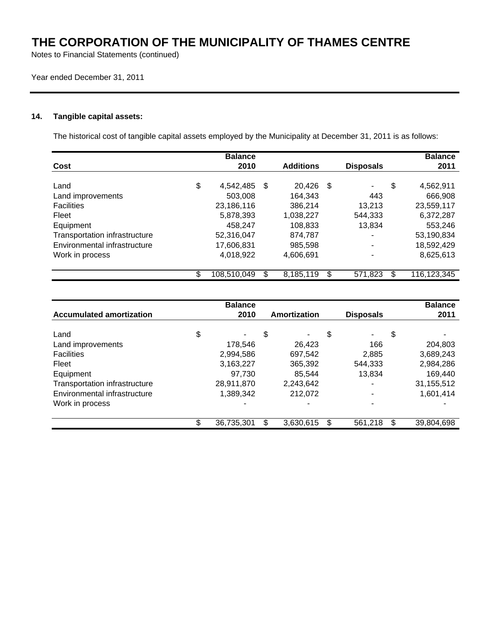Notes to Financial Statements (continued)

Year ended December 31, 2011

#### **14. Tangible capital assets:**

The historical cost of tangible capital assets employed by the Municipality at December 31, 2011 is as follows:

|                               | <b>Balance</b>  |                  |                  | <b>Balance</b>  |
|-------------------------------|-----------------|------------------|------------------|-----------------|
| Cost                          | 2010            | <b>Additions</b> | <b>Disposals</b> | 2011            |
| Land                          | \$<br>4,542,485 | \$<br>20,426 \$  |                  | \$<br>4,562,911 |
| Land improvements             | 503,008         | 164,343          | 443              | 666,908         |
| <b>Facilities</b>             | 23,186,116      | 386,214          | 13,213           | 23,559,117      |
| Fleet                         | 5,878,393       | 1,038,227        | 544,333          | 6,372,287       |
| Equipment                     | 458.247         | 108,833          | 13,834           | 553,246         |
| Transportation infrastructure | 52,316,047      | 874,787          |                  | 53,190,834      |
| Environmental infrastructure  | 17,606,831      | 985,598          |                  | 18,592,429      |
| Work in process               | 4,018,922       | 4,606,691        |                  | 8,625,613       |
|                               | 108,510,049     | \$<br>8,185,119  | 571,823          | 116,123,345     |

| <b>Accumulated amortization</b> | <b>Balance</b><br>2010 | Amortization    |    | <b>Disposals</b> |     | <b>Balance</b><br>2011 |
|---------------------------------|------------------------|-----------------|----|------------------|-----|------------------------|
|                                 |                        |                 |    |                  |     |                        |
| Land                            | \$                     | \$              | \$ | ۰                | \$  |                        |
| Land improvements               | 178,546                | 26,423          |    | 166              |     | 204,803                |
| <b>Facilities</b>               | 2,994,586              | 697,542         |    | 2,885            |     | 3,689,243              |
| Fleet                           | 3,163,227              | 365,392         |    | 544,333          |     | 2,984,286              |
| Equipment                       | 97.730                 | 85.544          |    | 13,834           |     | 169.440                |
| Transportation infrastructure   | 28,911,870             | 2,243,642       |    |                  |     | 31, 155, 512           |
| Environmental infrastructure    | 1,389,342              | 212,072         |    |                  |     | 1,601,414              |
| Work in process                 |                        |                 |    |                  |     |                        |
|                                 | 36,735,301             | \$<br>3,630,615 | S  | 561,218          | \$. | 39,804,698             |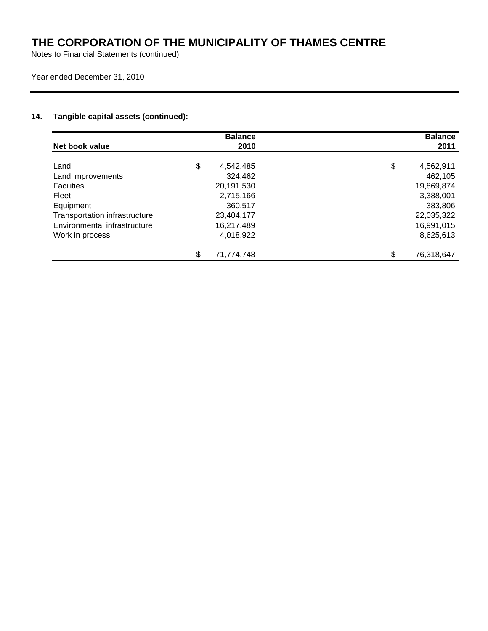Notes to Financial Statements (continued)

Year ended December 31, 2010

#### **14. Tangible capital assets (continued):**

| Net book value                | <b>Balance</b><br>2010 | <b>Balance</b><br>2011 |
|-------------------------------|------------------------|------------------------|
| Land                          | \$<br>4,542,485        | \$<br>4,562,911        |
| Land improvements             | 324,462                | 462,105                |
| <b>Facilities</b>             | 20,191,530             | 19,869,874             |
| Fleet                         | 2,715,166              | 3,388,001              |
| Equipment                     | 360,517                | 383,806                |
| Transportation infrastructure | 23,404,177             | 22,035,322             |
| Environmental infrastructure  | 16,217,489             | 16,991,015             |
| Work in process               | 4,018,922              | 8,625,613              |
|                               | 71,774,748             | S<br>76,318,647        |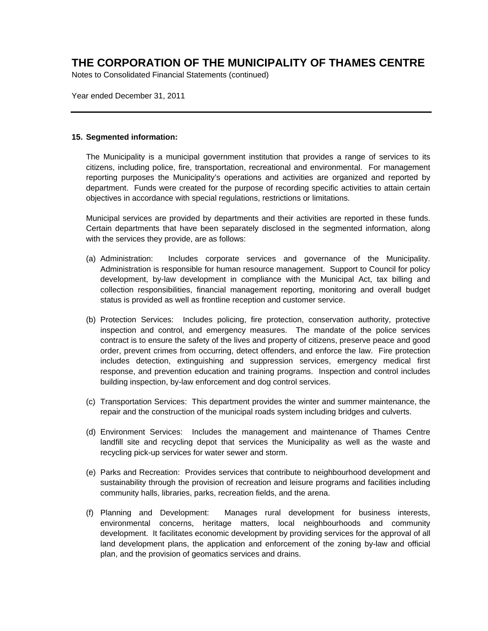Notes to Consolidated Financial Statements (continued)

Year ended December 31, 2011

#### **15. Segmented information:**

The Municipality is a municipal government institution that provides a range of services to its citizens, including police, fire, transportation, recreational and environmental. For management reporting purposes the Municipality's operations and activities are organized and reported by department. Funds were created for the purpose of recording specific activities to attain certain objectives in accordance with special regulations, restrictions or limitations.

Municipal services are provided by departments and their activities are reported in these funds. Certain departments that have been separately disclosed in the segmented information, along with the services they provide, are as follows:

- (a) Administration: Includes corporate services and governance of the Municipality. Administration is responsible for human resource management. Support to Council for policy development, by-law development in compliance with the Municipal Act, tax billing and collection responsibilities, financial management reporting, monitoring and overall budget status is provided as well as frontline reception and customer service.
- (b) Protection Services: Includes policing, fire protection, conservation authority, protective inspection and control, and emergency measures. The mandate of the police services contract is to ensure the safety of the lives and property of citizens, preserve peace and good order, prevent crimes from occurring, detect offenders, and enforce the law. Fire protection includes detection, extinguishing and suppression services, emergency medical first response, and prevention education and training programs. Inspection and control includes building inspection, by-law enforcement and dog control services.
- (c) Transportation Services: This department provides the winter and summer maintenance, the repair and the construction of the municipal roads system including bridges and culverts.
- (d) Environment Services: Includes the management and maintenance of Thames Centre landfill site and recycling depot that services the Municipality as well as the waste and recycling pick-up services for water sewer and storm.
- (e) Parks and Recreation: Provides services that contribute to neighbourhood development and sustainability through the provision of recreation and leisure programs and facilities including community halls, libraries, parks, recreation fields, and the arena.
- (f) Planning and Development: Manages rural development for business interests, environmental concerns, heritage matters, local neighbourhoods and community development. It facilitates economic development by providing services for the approval of all land development plans, the application and enforcement of the zoning by-law and official plan, and the provision of geomatics services and drains.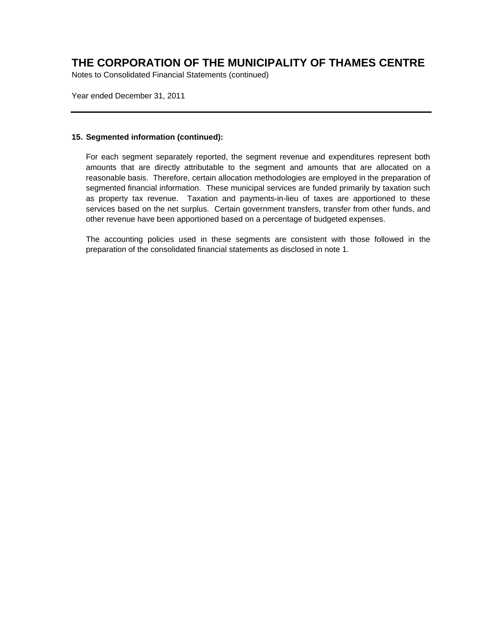Notes to Consolidated Financial Statements (continued)

Year ended December 31, 2011

#### **15. Segmented information (continued):**

For each segment separately reported, the segment revenue and expenditures represent both amounts that are directly attributable to the segment and amounts that are allocated on a reasonable basis. Therefore, certain allocation methodologies are employed in the preparation of segmented financial information. These municipal services are funded primarily by taxation such as property tax revenue. Taxation and payments-in-lieu of taxes are apportioned to these services based on the net surplus. Certain government transfers, transfer from other funds, and other revenue have been apportioned based on a percentage of budgeted expenses.

The accounting policies used in these segments are consistent with those followed in the preparation of the consolidated financial statements as disclosed in note 1.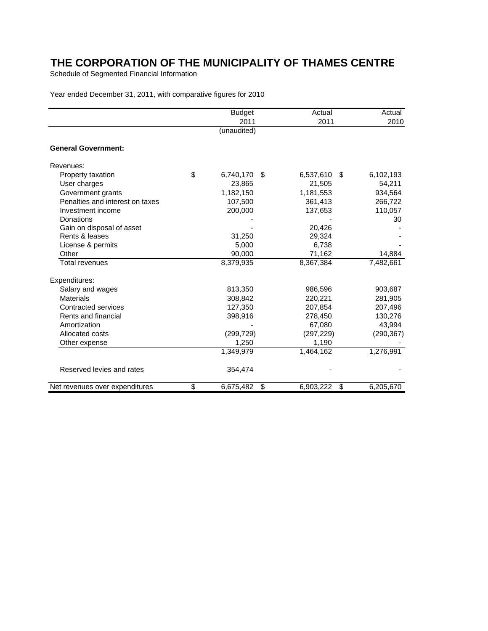|                                 | <b>Budget</b>   | Actual          | Actual          |
|---------------------------------|-----------------|-----------------|-----------------|
|                                 | 2011            | 2011            | 2010            |
|                                 | (unaudited)     |                 |                 |
| <b>General Government:</b>      |                 |                 |                 |
| Revenues:                       |                 |                 |                 |
| Property taxation               | \$<br>6,740,170 | \$<br>6,537,610 | \$<br>6,102,193 |
| User charges                    | 23,865          | 21,505          | 54,211          |
| Government grants               | 1,182,150       | 1,181,553       | 934,564         |
| Penalties and interest on taxes | 107,500         | 361,413         | 266,722         |
| Investment income               | 200,000         | 137,653         | 110,057         |
| <b>Donations</b>                |                 |                 | 30              |
| Gain on disposal of asset       |                 | 20,426          |                 |
| Rents & leases                  | 31,250          | 29,324          |                 |
| License & permits               | 5,000           | 6,738           |                 |
| Other                           | 90,000          | 71,162          | 14,884          |
| <b>Total revenues</b>           | 8,379,935       | 8,367,384       | 7,482,661       |
| Expenditures:                   |                 |                 |                 |
| Salary and wages                | 813,350         | 986,596         | 903,687         |
| <b>Materials</b>                | 308,842         | 220,221         | 281,905         |
| Contracted services             | 127,350         | 207,854         | 207,496         |
| Rents and financial             | 398,916         | 278,450         | 130,276         |
| Amortization                    |                 | 67,080          | 43,994          |
| Allocated costs                 | (299, 729)      | (297, 229)      | (290, 367)      |
| Other expense                   | 1,250           | 1,190           |                 |
|                                 | 1,349,979       | 1,464,162       | 1,276,991       |
| Reserved levies and rates       | 354,474         |                 |                 |
| Net revenues over expenditures  | \$<br>6,675,482 | 6,903,222<br>\$ | \$<br>6,205,670 |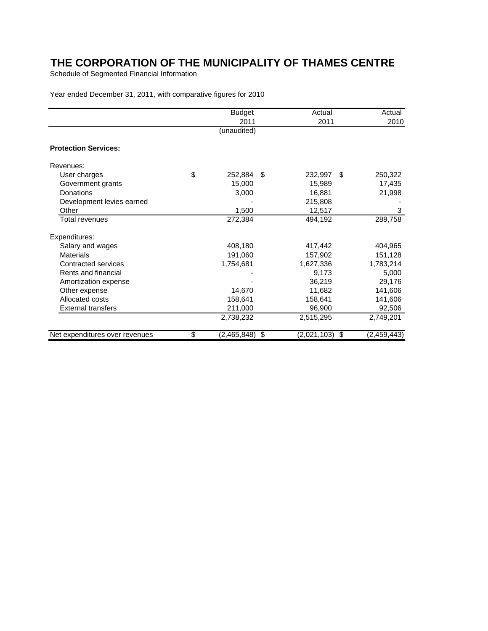| Year ended December 31, 2011, with comparative figures for 2010 |  |  |  |  |  |
|-----------------------------------------------------------------|--|--|--|--|--|
|-----------------------------------------------------------------|--|--|--|--|--|

|                                | <b>Budget</b>          | Actual      | Actual            |
|--------------------------------|------------------------|-------------|-------------------|
|                                | 2011                   | 2011        | 2010              |
|                                | (unaudited)            |             |                   |
| <b>Protection Services:</b>    |                        |             |                   |
| Revenues:                      |                        |             |                   |
| User charges                   | \$<br>252,884<br>\$    | 232,997     | \$<br>250,322     |
| Government grants              | 15,000                 | 15,989      | 17,435            |
| <b>Donations</b>               | 3,000                  | 16,881      | 21,998            |
| Development levies earned      |                        | 215,808     |                   |
| Other                          | 1,500                  | 12,517      | 3                 |
| Total revenues                 | 272,384                | 494,192     | 289,758           |
| Expenditures:                  |                        |             |                   |
| Salary and wages               | 408,180                | 417,442     | 404,965           |
| <b>Materials</b>               | 191,060                | 157,902     | 151,128           |
| Contracted services            | 1,754,681              | 1,627,336   | 1,783,214         |
| Rents and financial            |                        | 9,173       | 5,000             |
| Amortization expense           |                        | 36,219      | 29,176            |
| Other expense                  | 14,670                 | 11,682      | 141,606           |
| Allocated costs                | 158,641                | 158,641     | 141,606           |
| <b>External transfers</b>      | 211,000                | 96,900      | 92,506            |
|                                | 2,738,232              | 2,515,295   | 2,749,201         |
| Net expenditures over revenues | \$<br>$(2,465,848)$ \$ | (2,021,103) | \$<br>(2,459,443) |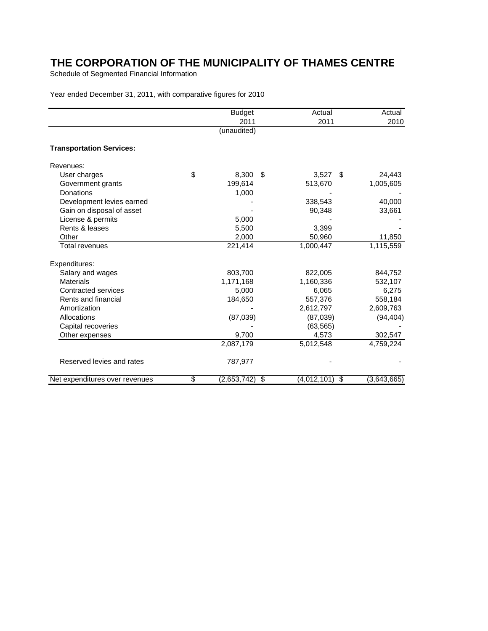| Year ended December 31, 2011, with comparative figures for 2010 |  |  |  |  |  |
|-----------------------------------------------------------------|--|--|--|--|--|
|-----------------------------------------------------------------|--|--|--|--|--|

|                                 |                 | <b>Budget</b>       |    | Actual      |     | Actual      |
|---------------------------------|-----------------|---------------------|----|-------------|-----|-------------|
|                                 |                 | 2011<br>(unaudited) |    | 2011        |     | 2010        |
| <b>Transportation Services:</b> |                 |                     |    |             |     |             |
| Revenues:                       |                 |                     |    |             |     |             |
| User charges                    | \$              | 8.300               | \$ | 3,527       | \$  | 24,443      |
| Government grants               |                 | 199,614             |    | 513,670     |     | 1,005,605   |
| Donations                       |                 | 1,000               |    |             |     |             |
| Development levies earned       |                 |                     |    | 338,543     |     | 40,000      |
| Gain on disposal of asset       |                 |                     |    | 90,348      |     | 33,661      |
| License & permits               |                 | 5,000               |    |             |     |             |
| Rents & leases                  |                 | 5,500               |    | 3,399       |     |             |
| Other                           |                 | 2,000               |    | 50,960      |     | 11,850      |
| <b>Total revenues</b>           |                 | 221,414             |    | 1,000,447   |     | 1,115,559   |
| Expenditures:                   |                 |                     |    |             |     |             |
| Salary and wages                |                 | 803,700             |    | 822,005     |     | 844,752     |
| <b>Materials</b>                |                 | 1,171,168           |    | 1,160,336   |     | 532,107     |
| Contracted services             |                 | 5,000               |    | 6,065       |     | 6,275       |
| Rents and financial             |                 | 184,650             |    | 557,376     |     | 558,184     |
| Amortization                    |                 |                     |    | 2,612,797   |     | 2,609,763   |
| Allocations                     |                 | (87,039)            |    | (87,039)    |     | (94, 404)   |
| Capital recoveries              |                 |                     |    | (63, 565)   |     |             |
| Other expenses                  |                 | 9,700               |    | 4,573       |     | 302,547     |
|                                 |                 | 2,087,179           |    | 5,012,548   |     | 4,759,224   |
| Reserved levies and rates       |                 | 787,977             |    |             |     |             |
| Net expenditures over revenues  | $\overline{\$}$ | $(2,653,742)$ \$    |    | (4,012,101) | -\$ | (3,643,665) |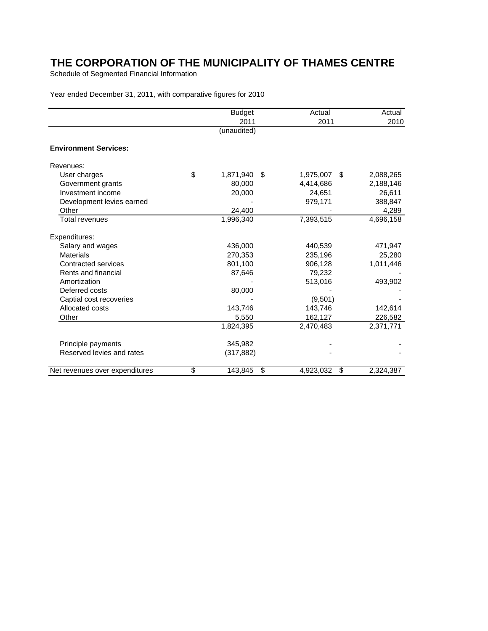| Year ended December 31, 2011, with comparative figures for 2010 |  |  |  |  |  |
|-----------------------------------------------------------------|--|--|--|--|--|
|-----------------------------------------------------------------|--|--|--|--|--|

|                                |                         | <b>Budget</b> |    | Actual          | Actual    |
|--------------------------------|-------------------------|---------------|----|-----------------|-----------|
|                                |                         | 2011          |    | 2011            | 2010      |
|                                |                         | (unaudited)   |    |                 |           |
| <b>Environment Services:</b>   |                         |               |    |                 |           |
| Revenues:                      |                         |               |    |                 |           |
| User charges                   | \$                      | 1,871,940     | \$ | 1,975,007<br>-S | 2,088,265 |
| Government grants              |                         | 80,000        |    | 4,414,686       | 2,188,146 |
| Investment income              |                         | 20,000        |    | 24,651          | 26,611    |
| Development levies earned      |                         |               |    | 979,171         | 388,847   |
| Other                          |                         | 24,400        |    |                 | 4,289     |
| <b>Total revenues</b>          |                         | 1,996,340     |    | 7,393,515       | 4,696,158 |
| Expenditures:                  |                         |               |    |                 |           |
| Salary and wages               |                         | 436,000       |    | 440,539         | 471,947   |
| <b>Materials</b>               |                         | 270,353       |    | 235,196         | 25,280    |
| Contracted services            |                         | 801,100       |    | 906,128         | 1,011,446 |
| Rents and financial            |                         | 87,646        |    | 79,232          |           |
| Amortization                   |                         |               |    | 513,016         | 493,902   |
| Deferred costs                 |                         | 80,000        |    |                 |           |
| Captial cost recoveries        |                         |               |    | (9,501)         |           |
| Allocated costs                |                         | 143,746       |    | 143,746         | 142,614   |
| Other                          |                         | 5,550         |    | 162,127         | 226,582   |
|                                |                         | 1,824,395     |    | 2,470,483       | 2,371,771 |
| Principle payments             |                         | 345,982       |    |                 |           |
| Reserved levies and rates      |                         | (317, 882)    |    |                 |           |
| Net revenues over expenditures | $\overline{\mathbf{e}}$ | 143,845       | \$ | \$<br>4,923,032 | 2,324,387 |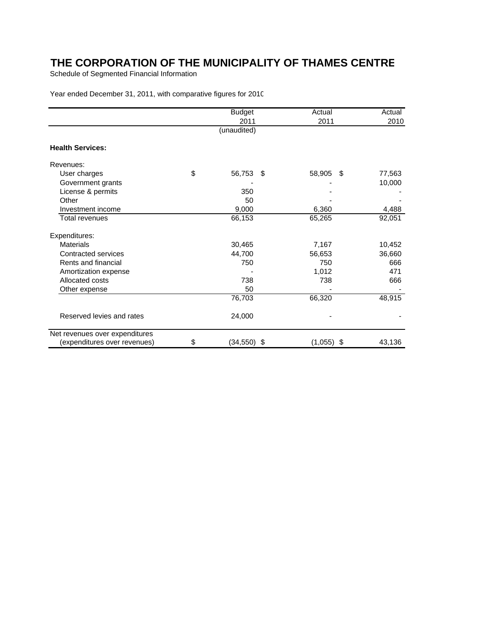| Year ended December 31, 2011, with comparative figures for 2010 |  |  |  |
|-----------------------------------------------------------------|--|--|--|
|-----------------------------------------------------------------|--|--|--|

|                                | <b>Budget</b>       | Actual       | Actual         |
|--------------------------------|---------------------|--------------|----------------|
|                                | 2011                | 2011         | 2010           |
|                                | (unaudited)         |              |                |
| <b>Health Services:</b>        |                     |              |                |
| Revenues:                      |                     |              |                |
| User charges                   | \$<br>56,753<br>S   | 58,905       | 77,563<br>- \$ |
| Government grants              |                     |              | 10,000         |
| License & permits              | 350                 |              |                |
| Other                          | 50                  |              |                |
| Investment income              | 9,000               | 6,360        | 4,488          |
| <b>Total revenues</b>          | 66,153              | 65,265       | 92,051         |
| Expenditures:                  |                     |              |                |
| <b>Materials</b>               | 30,465              | 7,167        | 10,452         |
| <b>Contracted services</b>     | 44,700              | 56,653       | 36,660         |
| Rents and financial            | 750                 | 750          | 666            |
| Amortization expense           |                     | 1,012        | 471            |
| Allocated costs                | 738                 | 738          | 666            |
| Other expense                  | 50                  |              |                |
|                                | 76,703              | 66,320       | 48,915         |
| Reserved levies and rates      | 24,000              |              |                |
| Net revenues over expenditures |                     |              |                |
| (expenditures over revenues)   | \$<br>$(34,550)$ \$ | $(1,055)$ \$ | 43,136         |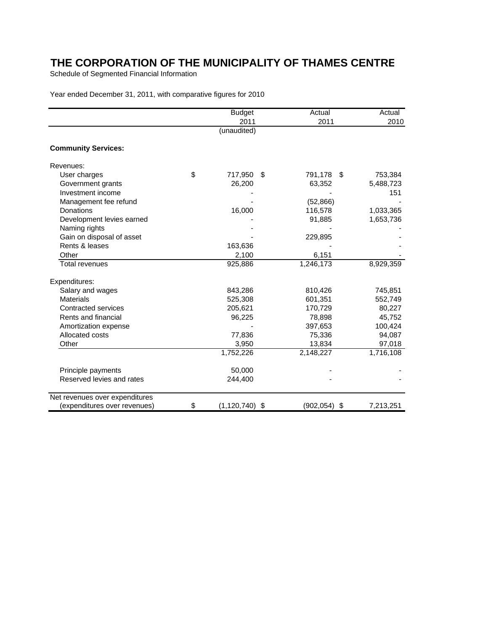| Year ended December 31, 2011, with comparative figures for 2010 |  |  |  |  |
|-----------------------------------------------------------------|--|--|--|--|
|-----------------------------------------------------------------|--|--|--|--|

|                                | <b>Budget</b>            | Actual          | Actual    |
|--------------------------------|--------------------------|-----------------|-----------|
|                                | 2011                     | 2011            | 2010      |
|                                | (unaudited)              |                 |           |
| <b>Community Services:</b>     |                          |                 |           |
| Revenues:                      |                          |                 |           |
| User charges                   | \$<br>717,950<br>\$      | 791,178<br>- \$ | 753,384   |
| Government grants              | 26,200                   | 63,352          | 5,488,723 |
| Investment income              |                          |                 | 151       |
| Management fee refund          |                          | (52, 866)       |           |
| <b>Donations</b>               | 16,000                   | 116,578         | 1,033,365 |
| Development levies earned      |                          | 91,885          | 1,653,736 |
| Naming rights                  |                          |                 |           |
| Gain on disposal of asset      |                          | 229,895         |           |
| Rents & leases                 | 163,636                  |                 |           |
| Other                          | 2,100                    | 6,151           |           |
| <b>Total revenues</b>          | 925,886                  | 1,246,173       | 8,929,359 |
| Expenditures:                  |                          |                 |           |
| Salary and wages               | 843,286                  | 810,426         | 745,851   |
| <b>Materials</b>               | 525,308                  | 601,351         | 552,749   |
| Contracted services            | 205,621                  | 170,729         | 80,227    |
| Rents and financial            | 96,225                   | 78,898          | 45,752    |
| Amortization expense           |                          | 397,653         | 100,424   |
| Allocated costs                | 77,836                   | 75,336          | 94,087    |
| Other                          | 3.950                    | 13,834          | 97,018    |
|                                | 1,752,226                | 2,148,227       | 1,716,108 |
| Principle payments             | 50,000                   |                 |           |
| Reserved levies and rates      | 244,400                  |                 |           |
| Net revenues over expenditures |                          |                 |           |
| (expenditures over revenues)   | \$<br>$(1, 120, 740)$ \$ | $(902, 054)$ \$ | 7,213,251 |